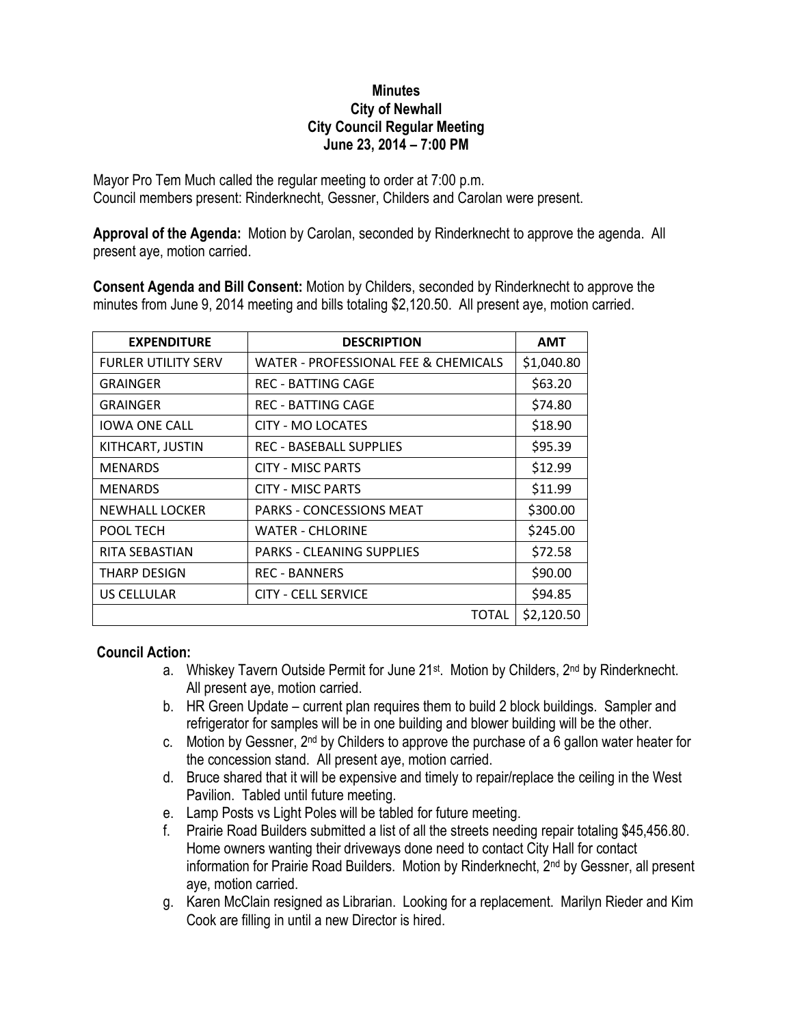## **Minutes City of Newhall City Council Regular Meeting June 23, 2014 – 7:00 PM**

Mayor Pro Tem Much called the regular meeting to order at 7:00 p.m. Council members present: Rinderknecht, Gessner, Childers and Carolan were present.

**Approval of the Agenda:** Motion by Carolan, seconded by Rinderknecht to approve the agenda. All present aye, motion carried.

**Consent Agenda and Bill Consent:** Motion by Childers, seconded by Rinderknecht to approve the minutes from June 9, 2014 meeting and bills totaling \$2,120.50. All present aye, motion carried.

| <b>EXPENDITURE</b>         | <b>DESCRIPTION</b>                   | <b>AMT</b> |
|----------------------------|--------------------------------------|------------|
| <b>FURLER UTILITY SERV</b> | WATER - PROFESSIONAL FEE & CHEMICALS | \$1,040.80 |
| GRAINGER                   | <b>REC - BATTING CAGE</b>            | \$63.20    |
| <b>GRAINGER</b>            | <b>REC - BATTING CAGE</b>            | \$74.80    |
| <b>IOWA ONE CALL</b>       | CITY - MO LOCATES                    | \$18.90    |
| KITHCART, JUSTIN           | <b>REC - BASEBALL SUPPLIES</b>       | \$95.39    |
| <b>MENARDS</b>             | <b>CITY - MISC PARTS</b>             | \$12.99    |
| <b>MENARDS</b>             | <b>CITY - MISC PARTS</b>             | \$11.99    |
| <b>NEWHALL LOCKER</b>      | <b>PARKS - CONCESSIONS MEAT</b>      | \$300.00   |
| POOL TECH                  | <b>WATER - CHLORINE</b>              | \$245.00   |
| RITA SEBASTIAN             | <b>PARKS - CLEANING SUPPLIES</b>     | \$72.58    |
| THARP DESIGN               | <b>REC - BANNERS</b>                 | \$90.00    |
| <b>US CELLULAR</b>         | <b>CITY - CELL SERVICE</b>           | \$94.85    |
|                            | TOTAL                                | \$2,120.50 |

## **Council Action:**

- a. Whiskey Tavern Outside Permit for June 21<sup>st</sup>. Motion by Childers, 2<sup>nd</sup> by Rinderknecht. All present aye, motion carried.
- b. HR Green Update current plan requires them to build 2 block buildings. Sampler and refrigerator for samples will be in one building and blower building will be the other.
- c. Motion by Gessner, 2nd by Childers to approve the purchase of a 6 gallon water heater for the concession stand. All present aye, motion carried.
- d. Bruce shared that it will be expensive and timely to repair/replace the ceiling in the West Pavilion. Tabled until future meeting.
- e. Lamp Posts vs Light Poles will be tabled for future meeting.
- f. Prairie Road Builders submitted a list of all the streets needing repair totaling \$45,456.80. Home owners wanting their driveways done need to contact City Hall for contact information for Prairie Road Builders. Motion by Rinderknecht, 2nd by Gessner, all present aye, motion carried.
- g. Karen McClain resigned as Librarian. Looking for a replacement. Marilyn Rieder and Kim Cook are filling in until a new Director is hired.